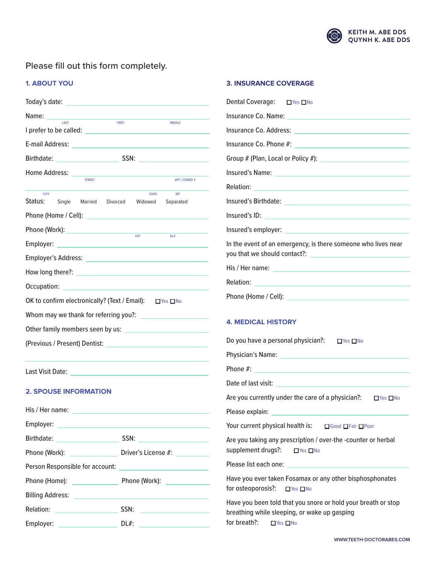

## Please fill out this form completely.

## **1. ABOUT YOU**

| Today's date: The contract of the contract of the contract of the contract of the contract of the contract of the contract of the contract of the contract of the contract of the contract of the contract of the contract of |                                  |  |  |                                                                                                                |  |  |  |
|-------------------------------------------------------------------------------------------------------------------------------------------------------------------------------------------------------------------------------|----------------------------------|--|--|----------------------------------------------------------------------------------------------------------------|--|--|--|
| Name:<br>LAST                                                                                                                                                                                                                 | <b>FIRST</b>                     |  |  |                                                                                                                |  |  |  |
| I prefer to be called:                                                                                                                                                                                                        | <b>MIDDLE</b>                    |  |  |                                                                                                                |  |  |  |
| E-mail Address: E-mail Address:                                                                                                                                                                                               |                                  |  |  |                                                                                                                |  |  |  |
|                                                                                                                                                                                                                               |                                  |  |  |                                                                                                                |  |  |  |
| Home Address:                                                                                                                                                                                                                 |                                  |  |  |                                                                                                                |  |  |  |
| <b>STREET</b>                                                                                                                                                                                                                 | APT / CONDO #                    |  |  |                                                                                                                |  |  |  |
| <b>CITY</b><br>Status:<br>Single Married Divorced Widowed                                                                                                                                                                     | <b>STATE</b><br>ZIP<br>Separated |  |  |                                                                                                                |  |  |  |
|                                                                                                                                                                                                                               |                                  |  |  |                                                                                                                |  |  |  |
| Phone (Work): $\frac{1}{2}$                                                                                                                                                                                                   |                                  |  |  |                                                                                                                |  |  |  |
|                                                                                                                                                                                                                               | DL#                              |  |  |                                                                                                                |  |  |  |
|                                                                                                                                                                                                                               |                                  |  |  |                                                                                                                |  |  |  |
|                                                                                                                                                                                                                               |                                  |  |  |                                                                                                                |  |  |  |
| Occupation:<br><u> 1980 - Andrea Station, amerikansk politik (</u>                                                                                                                                                            |                                  |  |  |                                                                                                                |  |  |  |
| OK to confirm electronically? (Text / Email): □ Yes □ No<br>Whom may we thank for referring you?:                                                                                                                             |                                  |  |  |                                                                                                                |  |  |  |
|                                                                                                                                                                                                                               |                                  |  |  | (Previous / Present) Dentist: [2000] [2010] [2010] [2010] [2010] [2010] [2010] [2010] [2010] [2010] [2010] [20 |  |  |  |
|                                                                                                                                                                                                                               |                                  |  |  |                                                                                                                |  |  |  |
| Last Visit Date:                                                                                                                                                                                                              |                                  |  |  |                                                                                                                |  |  |  |
| <b>2. SPOUSE INFORMATION</b>                                                                                                                                                                                                  |                                  |  |  |                                                                                                                |  |  |  |
|                                                                                                                                                                                                                               |                                  |  |  |                                                                                                                |  |  |  |
| His / Her name:                                                                                                                                                                                                               |                                  |  |  |                                                                                                                |  |  |  |
|                                                                                                                                                                                                                               |                                  |  |  |                                                                                                                |  |  |  |
| Birthdate: SSN:                                                                                                                                                                                                               |                                  |  |  |                                                                                                                |  |  |  |
| Phone (Work):                                                                                                                                                                                                                 | Driver's License #:              |  |  |                                                                                                                |  |  |  |
|                                                                                                                                                                                                                               |                                  |  |  |                                                                                                                |  |  |  |
|                                                                                                                                                                                                                               |                                  |  |  |                                                                                                                |  |  |  |
|                                                                                                                                                                                                                               |                                  |  |  |                                                                                                                |  |  |  |
|                                                                                                                                                                                                                               |                                  |  |  |                                                                                                                |  |  |  |
| Employer: ___________________                                                                                                                                                                                                 | $DL#$ :                          |  |  |                                                                                                                |  |  |  |

## **3. INSURANCE COVERAGE**

| Dental Coverage: □ Yes □ No                                                                                                                                                                                                          |
|--------------------------------------------------------------------------------------------------------------------------------------------------------------------------------------------------------------------------------------|
|                                                                                                                                                                                                                                      |
| Insurance Co. Address: National Property of Address and Address and Address and Address and Address and Address                                                                                                                      |
| Insurance Co. Phone #: New York Co. 2014                                                                                                                                                                                             |
|                                                                                                                                                                                                                                      |
| Insured's Name: <u>Alexander School and The Community of the School and The Community of the School and The Community of the School and The Community of the Community of the Community of the Community of the Community of the</u> |
|                                                                                                                                                                                                                                      |
|                                                                                                                                                                                                                                      |
| Insured's ID: <b>All and September 2018</b>                                                                                                                                                                                          |
|                                                                                                                                                                                                                                      |
| In the event of an emergency, is there someone who lives near                                                                                                                                                                        |
|                                                                                                                                                                                                                                      |
|                                                                                                                                                                                                                                      |
|                                                                                                                                                                                                                                      |
| <b>4. MEDICAL HISTORY</b>                                                                                                                                                                                                            |
| Do you have a personal physician?: □ Yes □ No                                                                                                                                                                                        |
|                                                                                                                                                                                                                                      |
| Phone $#$ :<br><u> 1989 - Johann Barn, mars and de Branch Barn, mars and de Branch Barn, mars and de Branch Barn, mars and de Br</u>                                                                                                 |
|                                                                                                                                                                                                                                      |
|                                                                                                                                                                                                                                      |
| Are you currently under the care of a physician?: $\Box$ Yes $\Box$ No                                                                                                                                                               |
| Please explain:                                                                                                                                                                                                                      |
| Your current physical health is:<br>□ Good □ Fair □ Poor                                                                                                                                                                             |
| Are you taking any prescription / over-the -counter or herbal<br>supplement drugs?:<br>$\Box$ Yes $\Box$ No                                                                                                                          |
| Please list each one:                                                                                                                                                                                                                |
| Have you ever taken Fosamax or any other bisphosphonates<br>for osteoporosis?:<br>$\Box$ Yes $\Box$ No                                                                                                                               |